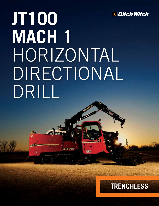

## **JT100 MACH 1** HORIZONTAL DIRECTIONAL DRILL

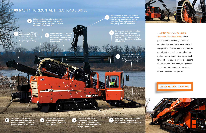**3** Infinitely variable rotary drive<br>3 enables the JT100 to match spindle speed and torque to power through virtually any soil condition.

## **JT100 MACH 1** HORIZONTAL DIRECTIONAL DRILL

Large-capacity, 230-gpm 870-l/min) fluid pump and 2-inch fluid course help move fluid downhole faster, or greater productivity.

Efficient hydraulic cooling system uses less fluid than the competition, reduces maintenance costs and keeps the engine operating efficiently all day.

2

268-hp (200-kW) engine<br>10 efficiently delivers tremendous (9 frame allows steeper entr frame allows steeper entry angles without raising tracks off the ground.

1

268-hp (200-kW) engine power to all drilling functions so you can get the job done faster.

**6** Specialized Ditch Witch-<br>6 **Specialized** drill pipe is designed to provide greater strength and flexibility.

**Ditch Witch** 

9

四部

100,000 lb (445 kN) of pullback and 12,000 ft·lb (16,300 N·m) of torque make the JT100 ideal for installations of large-diameter pipe.

8

The Ditch Witch® JT100 Mach 1 Horizontal Directional Drill delivers power when and where you need it to complete the bore in the most efficient way possible. There's plenty of power for an optional onboard loader and anchor system, too, which eliminate your need for additional equipment for pipeloading, anchoring and other tasks, and give the JT100 a unique ability: the power to reduce the size of the jobsite.

## **WE'RE IN THIS TOGETHER.**







5

Heavy-duty double rack-and-pinion thrust drive is field-proven to push/pull through long, tough bores.





Optional onboard loader and exclusive heavy-duty anchor system eliminate the need for large and expensive support equipment, reducing transportation costs, setup time and jobsite size.

4